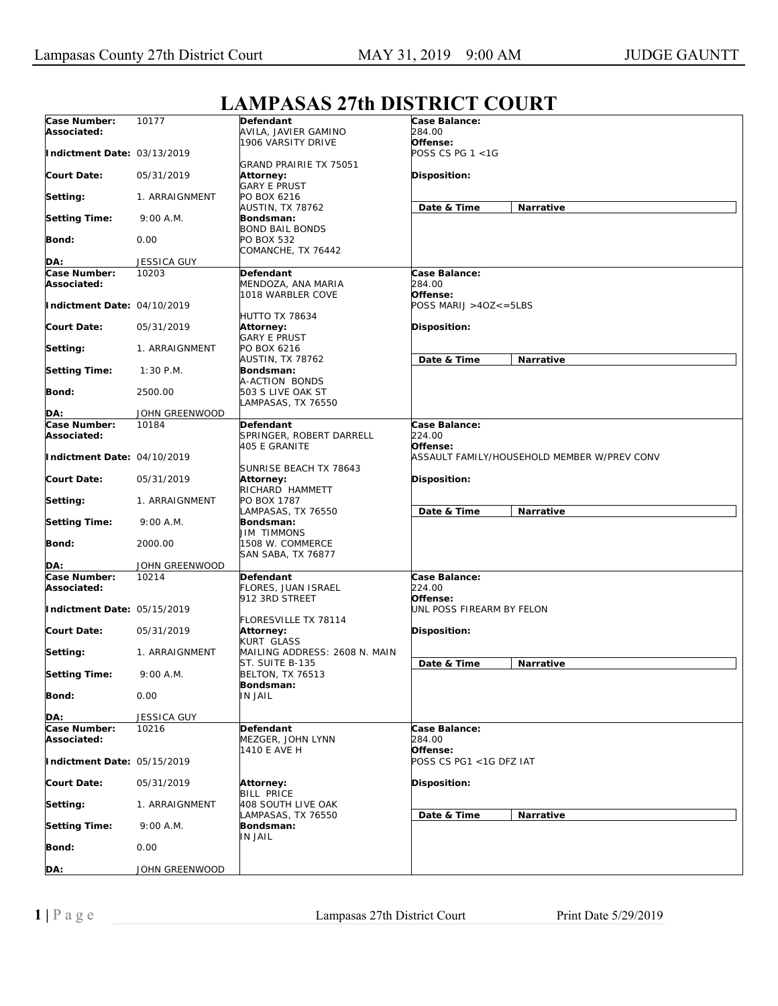| <b>LAMPASAS 27th DISTRICT COURT</b> |  |  |
|-------------------------------------|--|--|
|                                     |  |  |

|                                    |                | ении ноги эти рютимет                                      |                                                         |
|------------------------------------|----------------|------------------------------------------------------------|---------------------------------------------------------|
| Case Number:<br>Associated:        | 10177          | Defendant<br>AVILA, JAVIER GAMINO                          | Case Balance:<br><i>284.00</i>                          |
| Indictment Date: 03/13/2019        |                | 1906 VARSITY DRIVE                                         | Offense:<br>POSS CS PG 1 <1G                            |
| <b>Court Date:</b>                 | 05/31/2019     | GRAND PRAIRIE TX 75051<br>Attorney:<br><b>GARY E PRUST</b> | Disposition:                                            |
| Setting:                           | 1. ARRAIGNMENT | PO BOX 6216                                                |                                                         |
| <b>Setting Time:</b>               | 9:00 A.M.      | AUSTIN, TX 78762<br>Bondsman:<br><b>BOND BAIL BONDS</b>    | Date & Time<br>Narrative                                |
| Bond:                              | 0.00           | PO BOX 532                                                 |                                                         |
| DA:                                | JESSICA GUY    | COMANCHE, TX 76442                                         |                                                         |
| Case Number:                       | 10203          | Defendant                                                  | Case Balance:                                           |
| Associated:                        |                | MENDOZA, ANA MARIA<br>1018 WARBLER COVE                    | 284.00<br>Offense:                                      |
| Indictment Date: 04/10/2019        |                |                                                            | POSS MARIJ >40Z<=5LBS                                   |
| <b>Court Date:</b>                 | 05/31/2019     | <b>HUTTO TX 78634</b><br>Attorney:                         | Disposition:                                            |
| Setting:                           | 1. ARRAIGNMENT | <b>GARY E PRUST</b><br>PO BOX 6216                         |                                                         |
| <b>Setting Time:</b>               | $1:30$ P.M.    | AUSTIN, TX 78762<br>Bondsman:                              | Date & Time<br>Narrative                                |
|                                    |                | A-ACTION BONDS                                             |                                                         |
| Bond:                              | 2500.00        | 503 S LIVE OAK ST<br>LAMPASAS, TX 76550                    |                                                         |
| DA:                                | JOHN GREENWOOD |                                                            |                                                         |
| <b>Case Number:</b><br>Associated: | 10184          | Defendant<br>SPRINGER, ROBERT DARRELL                      | Case Balance:<br>224.00                                 |
| Indictment Date: 04/10/2019        |                | 405 E GRANITE                                              | Offense:<br>ASSAULT FAMILY/HOUSEHOLD MEMBER W/PREV CONV |
| <b>Court Date:</b>                 | 05/31/2019     | SUNRISE BEACH TX 78643<br>Attorney:                        | Disposition:                                            |
| Setting:                           | 1. ARRAIGNMENT | RICHARD HAMMETT<br>PO BOX 1787                             |                                                         |
| <b>Setting Time:</b>               | 9:00 A.M.      | LAMPASAS, TX 76550<br>Bondsman:<br>JIM TIMMONS             | Date & Time<br>Narrative                                |
| Bond:                              | 2000.00        | 1508 W. COMMERCE<br>SAN SABA, TX 76877                     |                                                         |
| DA:                                | JOHN GREENWOOD |                                                            |                                                         |
| Case Number:<br>Associated:        | 10214          | Defendant<br>FLORES, JUAN ISRAEL                           | Case Balance:<br>224.00                                 |
| Indictment Date: 05/15/2019        |                | 912 3RD STREET                                             | Offense:<br>UNL POSS FIREARM BY FELON                   |
| <b>Court Date:</b>                 | 05/31/2019     | FLORESVILLE TX 78114<br>Attorney:<br>KURT GLASS            | <b>Disposition:</b>                                     |
| Setting:                           | 1. ARRAIGNMENT | MAILING ADDRESS: 2608 N. MAIN<br>ST. SUITE B-135           | Date & Time<br><b>Narrative</b>                         |
| <b>Setting Time:</b>               | 9:00 A.M.      | <b>BELTON, TX 76513</b><br>Bondsman:                       |                                                         |
| Bond:                              | 0.00           | IN JAIL                                                    |                                                         |
| DA:                                | JESSICA GUY    |                                                            |                                                         |
| Case Number:<br>Associated:        | 10216          | Defendant<br>MEZGER, JOHN LYNN<br>1410 E AVE H             | Case Balance:<br>284.00<br>Offense:                     |
| Indictment Date: 05/15/2019        |                |                                                            | POSS CS PG1 <1G DFZ IAT                                 |
| <b>Court Date:</b>                 | 05/31/2019     | Attorney:<br><b>BILL PRICE</b>                             | Disposition:                                            |
| Setting:                           | 1. ARRAIGNMENT | <b>408 SOUTH LIVE OAK</b>                                  |                                                         |
| <b>Setting Time:</b>               | 9:00 A.M.      | LAMPASAS, TX 76550<br>Bondsman:                            | Date & Time<br>Narrative                                |
| <b>Bond:</b>                       | 0.00           | IN JAIL                                                    |                                                         |
| DA:                                | JOHN GREENWOOD |                                                            |                                                         |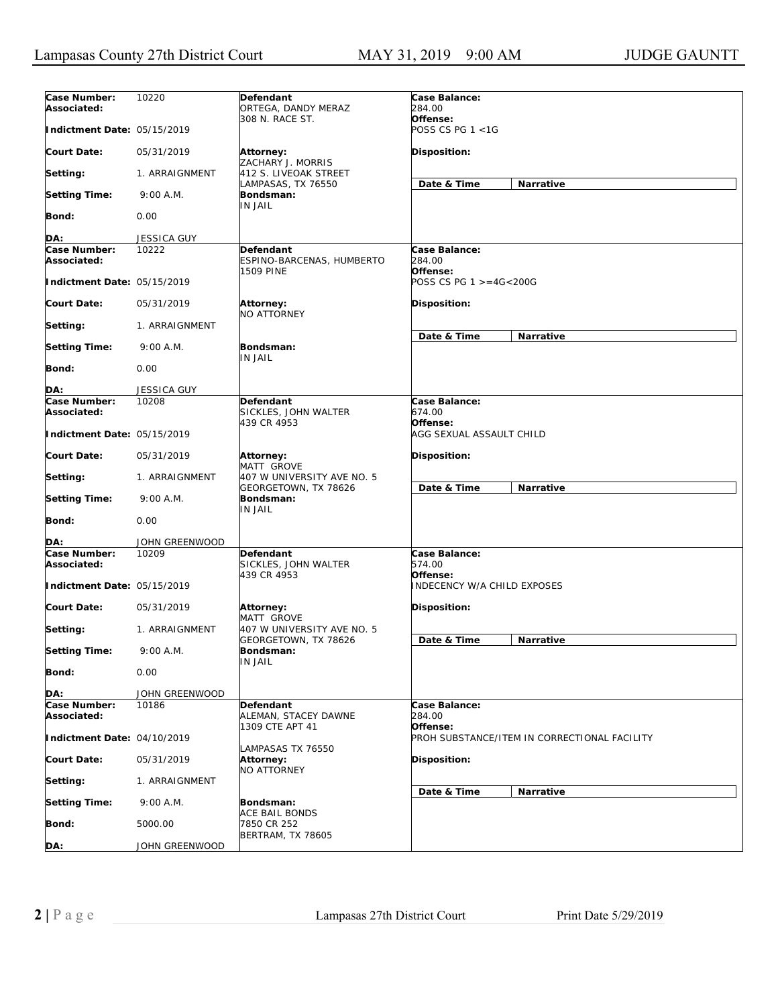| Case Number:<br>Associated: | 10220          | Defendant<br>ORTEGA, DANDY MERAZ                   | Case Balance:<br>284.00                      |  |
|-----------------------------|----------------|----------------------------------------------------|----------------------------------------------|--|
| Indictment Date: 05/15/2019 |                | 308 N. RACE ST.                                    | Offense:<br>POSS CS PG 1 <1G                 |  |
| <b>Court Date:</b>          | 05/31/2019     | Attorney:<br>ZACHARY J. MORRIS                     | Disposition:                                 |  |
| Setting:                    | 1. ARRAIGNMENT | 412 S. LIVEOAK STREET<br>LAMPASAS, TX 76550        | Date & Time<br>Narrative                     |  |
| <b>Setting Time:</b>        | 9:00 A.M.      | Bondsman:<br>IN JAIL                               |                                              |  |
| <b>Bond:</b>                | 0.00           |                                                    |                                              |  |
| DA:                         | JESSICA GUY    |                                                    |                                              |  |
| Case Number:                | 10222          | Defendant                                          | Case Balance:                                |  |
| Associated:                 |                | ESPINO-BARCENAS, HUMBERTO<br>1509 PINE             | 284.00<br>Offense:                           |  |
| Indictment Date: 05/15/2019 |                |                                                    | POSS CS PG 1 >=4G<200G                       |  |
| <b>Court Date:</b>          | 05/31/2019     | Attorney:<br><b>NO ATTORNEY</b>                    | <b>Disposition:</b>                          |  |
| Setting:                    | 1. ARRAIGNMENT |                                                    | Date & Time<br>Narrative                     |  |
| <b>Setting Time:</b>        | 9:00 A.M.      | Bondsman:<br>IN JAIL                               |                                              |  |
| <b>Bond:</b>                | 0.00           |                                                    |                                              |  |
| DA:                         | JESSICA GUY    |                                                    |                                              |  |
| Case Number:<br>Associated: | 10208          | Defendant<br>SICKLES, JOHN WALTER                  | Case Balance:<br>674.00                      |  |
| Indictment Date: 05/15/2019 |                | 439 CR 4953                                        | Offense:<br>AGG SEXUAL ASSAULT CHILD         |  |
| <b>Court Date:</b>          | 05/31/2019     | Attorney:<br>MATT GROVE                            | <b>Disposition:</b>                          |  |
| Setting:                    | 1. ARRAIGNMENT | 407 W UNIVERSITY AVE NO. 5<br>GEORGETOWN, TX 78626 | Date & Time<br>Narrative                     |  |
| <b>Setting Time:</b>        | 9:00 A.M.      | Bondsman:<br>IN JAIL                               |                                              |  |
| Bond:                       | 0.00           |                                                    |                                              |  |
| DA:                         | JOHN GREENWOOD |                                                    |                                              |  |
| Case Number:<br>Associated: | 10209          | Defendant<br>SICKLES, JOHN WALTER<br>439 CR 4953   | Case Balance:<br>574.00<br>Offense:          |  |
| Indictment Date: 05/15/2019 |                |                                                    | <i>INDECENCY W/A CHILD EXPOSES</i>           |  |
| <b>Court Date:</b>          | 05/31/2019     | Attorney:<br>MATT GROVE                            | <b>Disposition:</b>                          |  |
| Setting:                    | 1. ARRAIGNMENT | 407 W UNIVERSITY AVE NO. 5<br>GEORGETOWN, TX 78626 | Date & Time<br>Narrative                     |  |
| <b>Setting Time:</b>        | 9:00 A.M.      | Bondsman:<br>IN JAIL                               |                                              |  |
| <b>Bond:</b>                | 0.00           |                                                    |                                              |  |
| DA:                         | JOHN GREENWOOD |                                                    |                                              |  |
| Case Number:                | 10186          | Defendant                                          | Case Balance:                                |  |
| Associated:                 |                | ALEMAN, STACEY DAWNE<br>1309 CTE APT 41            | 284.00<br>Offense:                           |  |
| Indictment Date: 04/10/2019 |                |                                                    | PROH SUBSTANCE/ITEM IN CORRECTIONAL FACILITY |  |
| <b>Court Date:</b>          | 05/31/2019     | LAMPASAS TX 76550<br>Attorney:<br>NO ATTORNEY      | Disposition:                                 |  |
| Setting:                    | 1. ARRAIGNMENT |                                                    | Narrative<br>Date & Time                     |  |
| <b>Setting Time:</b>        | 9:00 A.M.      | Bondsman:<br>ACE BAIL BONDS                        |                                              |  |
| Bond:                       | 5000.00        | 7850 CR 252<br><b>BERTRAM, TX 78605</b>            |                                              |  |
| DA:                         | JOHN GREENWOOD |                                                    |                                              |  |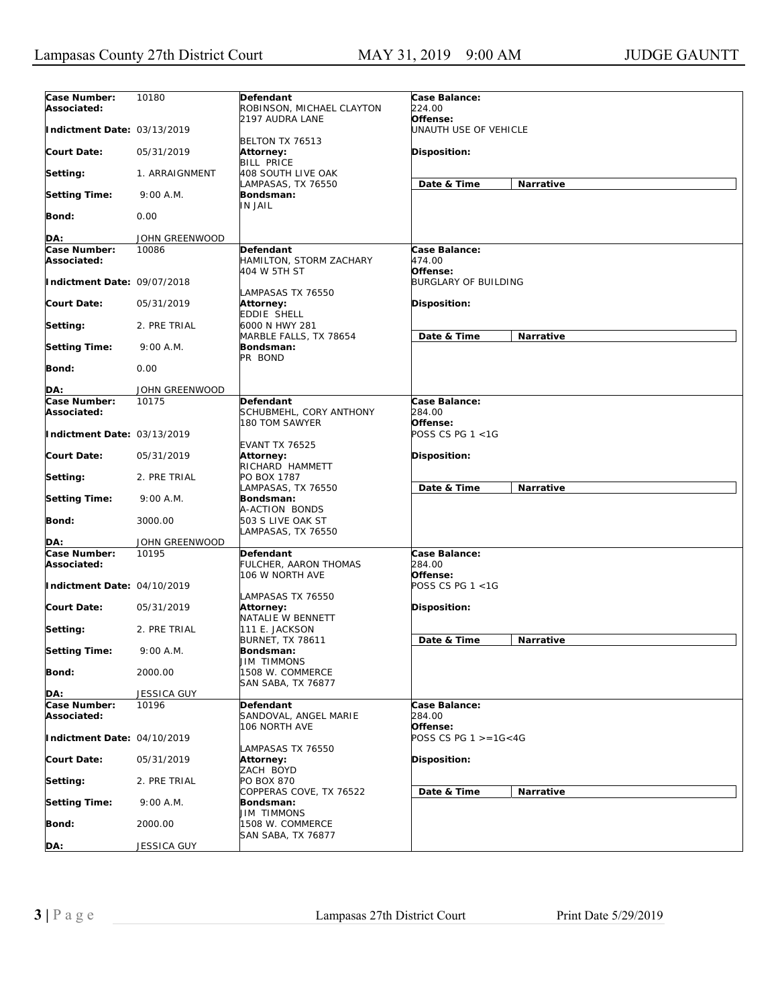| Case Number:<br>Associated: | 10180              | Defendant<br>ROBINSON, MICHAEL CLAYTON                | Case Balance:<br>224.00             |           |
|-----------------------------|--------------------|-------------------------------------------------------|-------------------------------------|-----------|
| Indictment Date: 03/13/2019 |                    | 2197 AUDRA LANE<br>BELTON TX 76513                    | Offense:<br>UNAUTH USE OF VEHICLE   |           |
| <b>Court Date:</b>          | 05/31/2019         | Attorney:<br><b>BILL PRICE</b>                        | <b>Disposition:</b>                 |           |
| Setting:                    | 1. ARRAIGNMENT     | 408 SOUTH LIVE OAK<br>LAMPASAS, TX 76550              | Date & Time                         | Narrative |
| <b>Setting Time:</b>        | 9:00 A.M.          | Bondsman:<br>IN JAIL                                  |                                     |           |
| <b>Bond:</b>                | 0.00               |                                                       |                                     |           |
| DA:                         | JOHN GREENWOOD     |                                                       |                                     |           |
| Case Number:<br>Associated: | 10086              | Defendant<br>HAMILTON, STORM ZACHARY<br>404 W 5TH ST  | Case Balance:<br>474.00<br>Offense: |           |
| Indictment Date: 09/07/2018 |                    | LAMPASAS TX 76550                                     | <b>BURGLARY OF BUILDING</b>         |           |
| <b>Court Date:</b>          | 05/31/2019         | Attorney:<br>EDDIE SHELL                              | <b>Disposition:</b>                 |           |
| Setting:                    | 2. PRE TRIAL       | 6000 N HWY 281<br>MARBLE FALLS, TX 78654              | Date & Time                         | Narrative |
| <b>Setting Time:</b>        | 9:00 A.M.          | Bondsman:<br>PR BOND                                  |                                     |           |
| Bond:                       | 0.00               |                                                       |                                     |           |
| DA:                         | JOHN GREENWOOD     |                                                       |                                     |           |
| Case Number:                | 10175              | Defendant                                             | Case Balance:                       |           |
| Associated:                 |                    | SCHUBMEHL, CORY ANTHONY<br>180 TOM SAWYER             | 284.00<br>Offense:                  |           |
| Indictment Date: 03/13/2019 |                    | <b>EVANT TX 76525</b>                                 | POSS CS PG 1 <1G                    |           |
| <b>Court Date:</b>          | 05/31/2019         | Attorney:<br>RICHARD HAMMETT                          | <b>Disposition:</b>                 |           |
| Setting:                    | 2. PRE TRIAL       | PO BOX 1787<br>LAMPASAS, TX 76550                     | Date & Time                         | Narrative |
| <b>Setting Time:</b>        | 9:00 A.M.          | Bondsman:<br>A-ACTION BONDS                           |                                     |           |
| Bond:                       | 3000.00            | 503 S LIVE OAK ST<br>LAMPASAS, TX 76550               |                                     |           |
| DA:                         | JOHN GREENWOOD     |                                                       |                                     |           |
| Case Number:<br>Associated: | 10195              | Defendant<br>FULCHER, AARON THOMAS<br>106 W NORTH AVE | Case Balance:<br>284.00<br>Offense: |           |
| Indictment Date: 04/10/2019 |                    | LAMPASAS TX 76550                                     | POSS CS PG 1 <1G                    |           |
| <b>Court Date:</b>          | 05/31/2019         | <b>Attorney:</b><br>NATALIE W BENNETT                 | <b>Disposition:</b>                 |           |
| Setting:                    | 2. PRE TRIAL       | 111 E. JACKSON<br><b>BURNET, TX 78611</b>             | Date & Time                         | Narrative |
| <b>Setting Time:</b>        | 9:00 A.M.          | Bondsman:<br><b>JIM TIMMONS</b>                       |                                     |           |
| Bond:                       | 2000.00            | 1508 W. COMMERCE<br>SAN SABA, TX 76877                |                                     |           |
| DA:                         | <b>JESSICA GUY</b> |                                                       |                                     |           |
| Case Number:<br>Associated: | 10196              | Defendant<br>SANDOVAL, ANGEL MARIE                    | Case Balance:<br>284.00<br>Offense: |           |
| Indictment Date: 04/10/2019 |                    | 106 NORTH AVE                                         | POSS CS PG $1 > = 16 < 4G$          |           |
| <b>Court Date:</b>          | 05/31/2019         | LAMPASAS TX 76550<br><b>Attorney:</b><br>ZACH BOYD    | Disposition:                        |           |
| Setting:                    | 2. PRE TRIAL       | <b>PO BOX 870</b><br>COPPERAS COVE, TX 76522          | Date & Time                         | Narrative |
| <b>Setting Time:</b>        | 9:00 A.M.          | Bondsman:<br><b>JIM TIMMONS</b>                       |                                     |           |
| <b>Bond:</b>                | 2000.00            | 1508 W. COMMERCE<br>SAN SABA, TX 76877                |                                     |           |
| DA:                         | JESSICA GUY        |                                                       |                                     |           |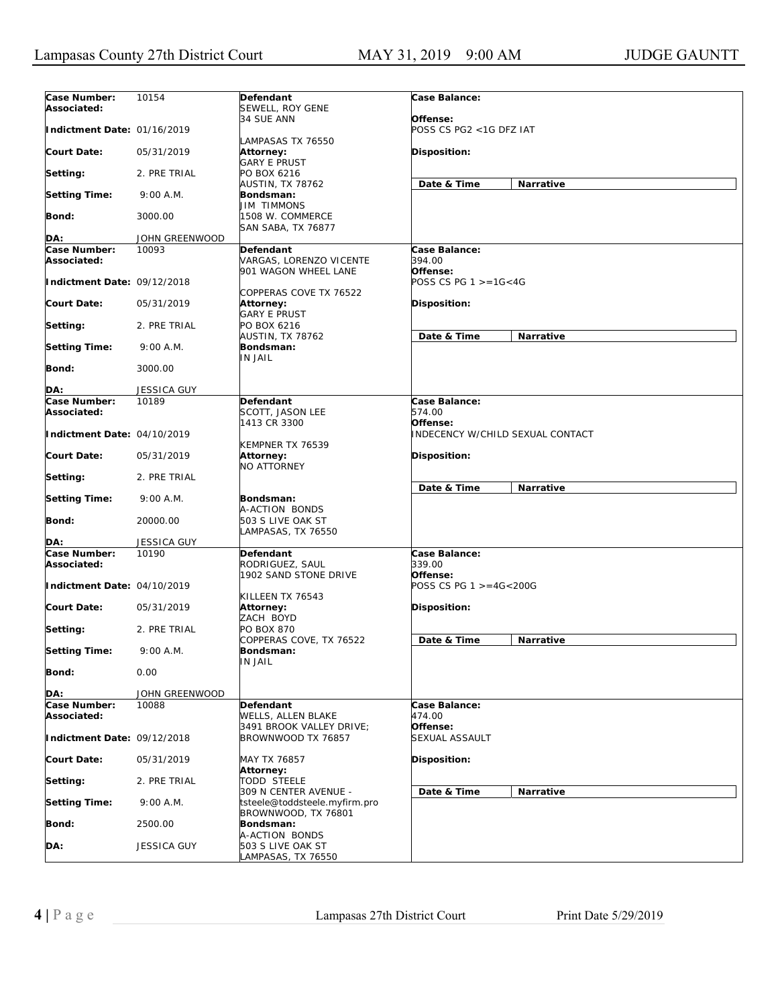| Case Number:<br>Associated: | 10154          | Defendant<br>SEWELL, ROY GENE                                | Case Balance:                              |
|-----------------------------|----------------|--------------------------------------------------------------|--------------------------------------------|
| Indictment Date: 01/16/2019 |                | 34 SUE ANN                                                   | Offense:<br>POSS CS PG2 <1G DFZ IAT        |
| <b>Court Date:</b>          | 05/31/2019     | LAMPASAS TX 76550<br><b>Attorney:</b><br><b>GARY E PRUST</b> | Disposition:                               |
| Setting:                    | 2. PRE TRIAL   | PO BOX 6216                                                  |                                            |
| <b>Setting Time:</b>        | 9:00 A.M.      | AUSTIN, TX 78762<br>Bondsman:                                | Date & Time<br>Narrative                   |
| Bond:                       | 3000.00        | <b>JIM TIMMONS</b><br>1508 W. COMMERCE<br>SAN SABA, TX 76877 |                                            |
|                             | JOHN GREENWOOD |                                                              |                                            |
| DA:                         |                |                                                              |                                            |
| Case Number:<br>Associated: | 10093          | Defendant<br>VARGAS, LORENZO VICENTE<br>901 WAGON WHEEL LANE | Case Balance:<br>394.00<br>Offense:        |
| Indictment Date: 09/12/2018 |                | COPPERAS COVE TX 76522                                       | POSS CS PG $1 > = 16 < 4G$                 |
| <b>Court Date:</b>          | 05/31/2019     | Attorney:<br><b>GARY E PRUST</b>                             | Disposition:                               |
| Setting:                    | 2. PRE TRIAL   | PO BOX 6216<br>AUSTIN, TX 78762                              | Date & Time<br>Narrative                   |
| <b>Setting Time:</b>        | 9:00 A.M.      | Bondsman:<br><b>IN JAIL</b>                                  |                                            |
| Bond:                       | 3000.00        |                                                              |                                            |
| DA:                         | JESSICA GUY    |                                                              |                                            |
| Case Number:                | 10189          | Defendant                                                    | Case Balance:                              |
| Associated:                 |                | SCOTT, JASON LEE<br>1413 CR 3300                             | 574.00<br>Offense:                         |
| Indictment Date: 04/10/2019 |                | KEMPNER TX 76539                                             | INDECENCY W/CHILD SEXUAL CONTACT           |
| <b>Court Date:</b>          | 05/31/2019     | Attorney:<br><b>NO ATTORNEY</b>                              | Disposition:                               |
| Setting:                    | 2. PRE TRIAL   |                                                              | Date & Time<br>Narrative                   |
| <b>Setting Time:</b>        | 9:00 A.M.      | Bondsman:<br>A-ACTION BONDS                                  |                                            |
| <b>Bond:</b>                | 20000.00       | 503 S LIVE OAK ST<br>LAMPASAS, TX 76550                      |                                            |
| DA:                         | JESSICA GUY    |                                                              |                                            |
| Case Number:<br>Associated: | 10190          | Defendant<br>RODRIGUEZ, SAUL                                 | Case Balance:<br><i>339.00</i><br>Offense: |
| Indictment Date: 04/10/2019 |                | 1902 SAND STONE DRIVE                                        | POSS CS PG 1 >=4G<200G                     |
| <b>Court Date:</b>          | 05/31/2019     | KILLEEN TX 76543<br>Attorney:                                | Disposition:                               |
| Setting:                    | 2. PRE TRIAL   | ZACH BOYD<br><b>PO BOX 870</b>                               | Date & Time<br>Narrative                   |
| <b>Setting Time:</b>        | 9:00 A.M.      | COPPERAS COVE, TX 76522<br>Bondsman:<br>IN JAIL              |                                            |
| <b>Bond:</b>                | 0.00           |                                                              |                                            |
| DA:                         | JOHN GREENWOOD |                                                              |                                            |
| Case Number:                | 10088          | Defendant                                                    | Case Balance:                              |
| Associated:                 |                | WELLS, ALLEN BLAKE                                           | 474.00                                     |
|                             |                | 3491 BROOK VALLEY DRIVE;                                     | Offense:                                   |
| Indictment Date: 09/12/2018 |                | BROWNWOOD TX 76857                                           | SEXUAL ASSAULT                             |
| <b>Court Date:</b>          | 05/31/2019     | MAY TX 76857<br>Attorney:                                    | Disposition:                               |
| Setting:                    | 2. PRE TRIAL   | <b>TODD STEELE</b><br>309 N CENTER AVENUE -                  | Date & Time<br>Narrative                   |
| <b>Setting Time:</b>        | 9:00 A.M.      | tsteele@toddsteele.myfirm.pro<br>BROWNWOOD, TX 76801         |                                            |
| <b>Bond:</b>                | 2500.00        | Bondsman:                                                    |                                            |
| DA:                         | JESSICA GUY    | A-ACTION BONDS<br>503 S LIVE OAK ST<br>LAMPASAS, TX 76550    |                                            |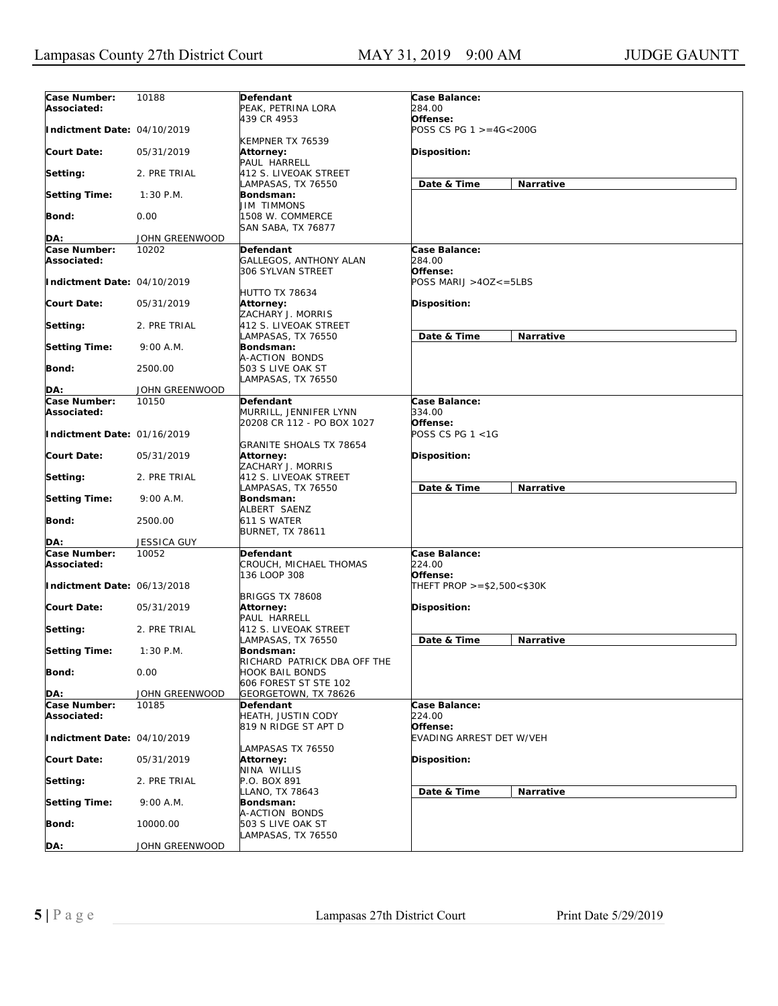| Case Number:<br>Associated: | 10188                 | Defendant<br>PEAK, PETRINA LORA                                  | Case Balance:<br>284.00             |           |
|-----------------------------|-----------------------|------------------------------------------------------------------|-------------------------------------|-----------|
| Indictment Date: 04/10/2019 |                       | 439 CR 4953                                                      | Offense:<br>POSS CS PG 1 >=4G<200G  |           |
| <b>Court Date:</b>          | 05/31/2019            | KEMPNER TX 76539<br><b>Attorney:</b><br>PAUL HARRELL             | Disposition:                        |           |
| Setting:                    | 2. PRE TRIAL          | 412 S. LIVEOAK STREET<br>LAMPASAS, TX 76550                      | Date & Time                         | Narrative |
| <b>Setting Time:</b>        | $1:30$ P.M.           | Bondsman:<br><b>JIM TIMMONS</b>                                  |                                     |           |
| <b>Bond:</b>                | 0.00                  | 1508 W. COMMERCE<br>SAN SABA, TX 76877                           |                                     |           |
| DA:                         | JOHN GREENWOOD        |                                                                  |                                     |           |
|                             |                       |                                                                  |                                     |           |
| Case Number:<br>Associated: | 10202                 | <b>Defendant</b><br>GALLEGOS, ANTHONY ALAN<br>306 SYLVAN STREET  | Case Balance:<br>284.00<br>Offense: |           |
| Indictment Date: 04/10/2019 |                       | <b>HUTTO TX 78634</b>                                            | POSS MARIJ >4OZ<=5LBS               |           |
| <b>Court Date:</b>          | 05/31/2019            | Attorney:<br>ZACHARY J. MORRIS                                   | Disposition:                        |           |
| Setting:                    | 2. PRE TRIAL          | 412 S. LIVEOAK STREET<br>LAMPASAS, TX 76550                      | Date & Time                         | Narrative |
| <b>Setting Time:</b>        | 9:00 A.M.             | Bondsman:<br>A-ACTION BONDS                                      |                                     |           |
| <b>Bond:</b>                | 2500.00               | 503 S LIVE OAK ST<br>LAMPASAS, TX 76550                          |                                     |           |
| DA:                         | <b>JOHN GREENWOOD</b> |                                                                  |                                     |           |
| <b>Case Number:</b>         | 10150                 | Defendant                                                        | Case Balance:                       |           |
| Associated:                 |                       | MURRILL, JENNIFER LYNN                                           | 334.00                              |           |
| Indictment Date: 01/16/2019 |                       | 20208 CR 112 - PO BOX 1027                                       | Offense:<br>POSS CS PG 1 <1G        |           |
| <b>Court Date:</b>          | 05/31/2019            | <b>GRANITE SHOALS TX 78654</b><br>Attorney:<br>ZACHARY J. MORRIS | Disposition:                        |           |
| Setting:                    | 2. PRE TRIAL          | 412 S. LIVEOAK STREET<br>LAMPASAS, TX 76550                      | Date & Time                         | Narrative |
| <b>Setting Time:</b>        | 9:00 A.M.             | Bondsman:<br>ALBERT SAENZ                                        |                                     |           |
| <b>Bond:</b>                | 2500.00               | 611 S WATER<br><b>BURNET, TX 78611</b>                           |                                     |           |
| DA:                         | <b>JESSICA GUY</b>    |                                                                  |                                     |           |
| Case Number:<br>Associated: | 10052                 | Defendant<br>CROUCH, MICHAEL THOMAS<br>136 LOOP 308              | Case Balance:<br>224.00<br>Offense: |           |
| Indictment Date: 06/13/2018 |                       |                                                                  | THEFT PROP >=\$2,500<\$30K          |           |
| <b>Court Date:</b>          | 05/31/2019            | <b>BRIGGS TX 78608</b><br>Attorney:<br>PAUL HARRELL              | <b>Disposition:</b>                 |           |
| Setting:                    | 2. PRE TRIAL          | 412 S. LIVEOAK STREET<br>LAMPASAS, TX 76550                      | Date & Time                         | Narrative |
| <b>Setting Time:</b>        | $1:30$ P.M.           | Bondsman:<br>RICHARD PATRICK DBA OFF THE                         |                                     |           |
| <b>Bond:</b>                | 0.00                  | HOOK BAIL BONDS<br>606 FOREST ST STE 102                         |                                     |           |
| DA:                         | JOHN GREENWOOD        | GEORGETOWN, TX 78626                                             |                                     |           |
| Case Number:                | 10185                 | Defendant                                                        | Case Balance:                       |           |
| Associated:                 |                       | HEATH, JUSTIN CODY<br>819 N RIDGE ST APT D                       | 224.00<br>Offense:                  |           |
| Indictment Date: 04/10/2019 |                       | LAMPASAS TX 76550                                                | EVADING ARREST DET W/VEH            |           |
| <b>Court Date:</b>          | 05/31/2019            | Attorney:<br>NINA WILLIS                                         | Disposition:                        |           |
| Setting:                    | 2. PRE TRIAL          | P.O. BOX 891<br>LLANO, TX 78643                                  | Date & Time                         | Narrative |
| <b>Setting Time:</b>        | 9:00 A.M.             | Bondsman:<br>A-ACTION BONDS                                      |                                     |           |
| Bond:                       | 10000.00              | 503 S LIVE OAK ST<br>LAMPASAS, TX 76550                          |                                     |           |
| DA:                         | JOHN GREENWOOD        |                                                                  |                                     |           |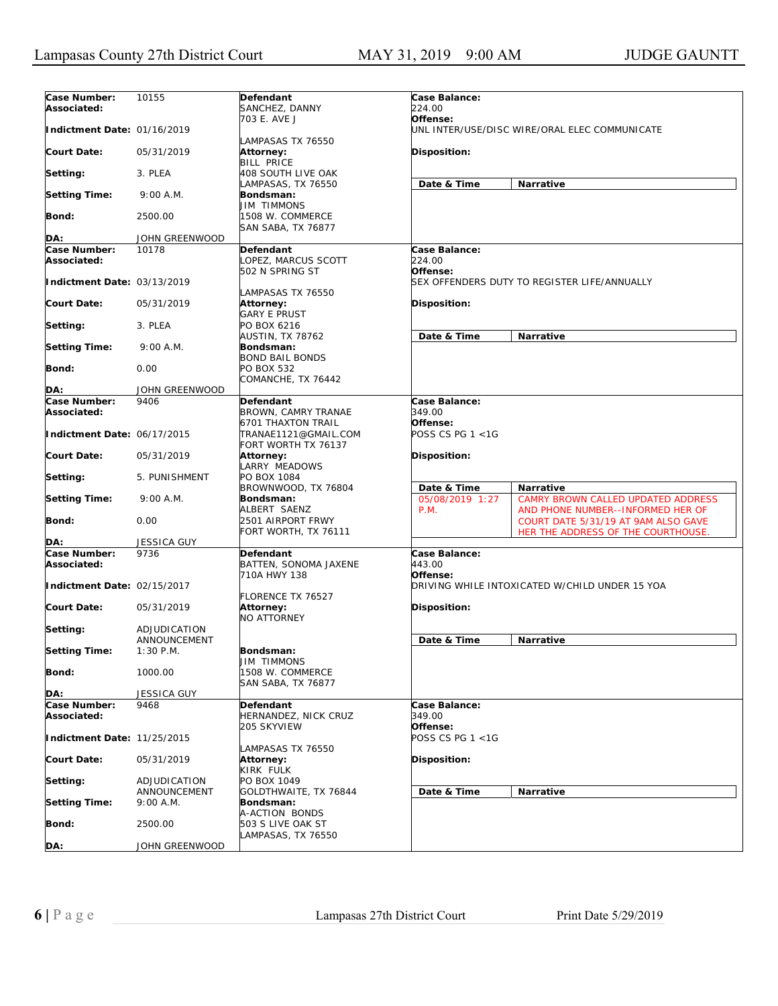| Case Number:                | 10155                       | Defendant                                                                | Case Balance:                                                                     |
|-----------------------------|-----------------------------|--------------------------------------------------------------------------|-----------------------------------------------------------------------------------|
| Associated:                 |                             | SANCHEZ, DANNY                                                           | 224.00                                                                            |
| Indictment Date: 01/16/2019 |                             | 703 E. AVE J                                                             | Offense:<br>UNL INTER/USE/DISC WIRE/ORAL ELEC COMMUNICATE                         |
|                             |                             | LAMPASAS TX 76550                                                        |                                                                                   |
| <b>Court Date:</b>          | 05/31/2019                  | Attorney:                                                                | <b>Disposition:</b>                                                               |
| Setting:                    | 3. PLEA                     | <b>BILL PRICE</b><br>408 SOUTH LIVE OAK                                  |                                                                                   |
| <b>Setting Time:</b>        | 9:00 A.M.                   | LAMPASAS, TX 76550<br>Bondsman:                                          | Date & Time<br>Narrative                                                          |
|                             |                             | <b>JIM TIMMONS</b>                                                       |                                                                                   |
| <b>Bond:</b>                | 2500.00                     | 1508 W. COMMERCE<br>SAN SABA, TX 76877                                   |                                                                                   |
| DA:                         | JOHN GREENWOOD              |                                                                          |                                                                                   |
| Case Number:                | 10178                       | <b>Defendant</b>                                                         | Case Balance:                                                                     |
| Associated:                 |                             | LOPEZ, MARCUS SCOTT                                                      | 224.00                                                                            |
| Indictment Date: 03/13/2019 |                             | 502 N SPRING ST                                                          | Offense:<br>SEX OFFENDERS DUTY TO REGISTER LIFE/ANNUALLY                          |
|                             |                             | LAMPASAS TX 76550                                                        |                                                                                   |
| <b>Court Date:</b>          | 05/31/2019                  | <b>Attorney:</b>                                                         | <b>Disposition:</b>                                                               |
|                             |                             | <b>GARY E PRUST</b>                                                      |                                                                                   |
| Setting:                    | 3. PLEA                     | PO BOX 6216<br>AUSTIN, TX 78762                                          | Date & Time<br>Narrative                                                          |
| <b>Setting Time:</b>        | 9:00 A.M.                   | Bondsman:                                                                |                                                                                   |
|                             |                             | <b>BOND BAIL BONDS</b>                                                   |                                                                                   |
| Bond:                       | 0.00                        | <b>PO BOX 532</b><br>COMANCHE, TX 76442                                  |                                                                                   |
| DA:                         | JOHN GREENWOOD              |                                                                          |                                                                                   |
| Case Number:                | 9406                        | Defendant                                                                | Case Balance:                                                                     |
| Associated:                 |                             | BROWN, CAMRY TRANAE                                                      | 349.00<br>Offense:                                                                |
| Indictment Date: 06/17/2015 |                             | <b>6701 THAXTON TRAIL</b><br>TRANAE1121@GMAIL.COM<br>FORT WORTH TX 76137 | POSS CS PG 1 <1G                                                                  |
| <b>Court Date:</b>          | 05/31/2019                  | Attorney:<br>LARRY MEADOWS                                               | <b>Disposition:</b>                                                               |
| Setting:                    | 5. PUNISHMENT               | PO BOX 1084                                                              |                                                                                   |
| <b>Setting Time:</b>        | 9:00 A.M.                   | BROWNWOOD, TX 76804<br>Bondsman:                                         | Date & Time<br>Narrative<br>05/08/2019 1:27<br>CAMRY BROWN CALLED UPDATED ADDRESS |
|                             |                             | ALBERT SAENZ                                                             | P.M.<br>AND PHONE NUMBER--INFORMED HER OF                                         |
| <b>Bond:</b>                | 0.00                        | 2501 AIRPORT FRWY                                                        | COURT DATE 5/31/19 AT 9AM ALSO GAVE                                               |
|                             |                             | FORT WORTH, TX 76111                                                     | HER THE ADDRESS OF THE COURTHOUSE.                                                |
| DA:<br>Case Number:         | <b>JESSICA GUY</b><br>9736  | Defendant                                                                | Case Balance:                                                                     |
| Associated:                 |                             | BATTEN, SONOMA JAXENE                                                    | 443.00                                                                            |
|                             |                             | 710A HWY 138                                                             | Offense:                                                                          |
| Indictment Date: 02/15/2017 |                             |                                                                          | DRIVING WHILE INTOXICATED W/CHILD UNDER 15 YOA                                    |
| <b>Court Date:</b>          | 05/31/2019                  | <b>FLORENCE TX 76527</b><br>Attorney:                                    | <b>Disposition:</b>                                                               |
|                             |                             | NO ATTORNEY                                                              |                                                                                   |
| Setting:                    | ADJUDICATION                |                                                                          |                                                                                   |
| <b>Setting Time:</b>        | ANNOUNCEMENT<br>$1:30$ P.M. | Bondsman:                                                                | Date & Time<br>Narrative                                                          |
|                             |                             | <b>JIM TIMMONS</b>                                                       |                                                                                   |
| <b>Bond:</b>                | 1000.00                     | 1508 W. COMMERCE                                                         |                                                                                   |
| DA:                         | JESSICA GUY                 | SAN SABA, TX 76877                                                       |                                                                                   |
| Case Number:                | 9468                        | Defendant                                                                | Case Balance:                                                                     |
| Associated:                 |                             | HERNANDEZ, NICK CRUZ                                                     | 349.00                                                                            |
|                             |                             | 205 SKYVIEW                                                              | Offense:                                                                          |
| Indictment Date: 11/25/2015 |                             | LAMPASAS TX 76550                                                        | POSS CS PG 1 <1G                                                                  |
| <b>Court Date:</b>          | 05/31/2019                  | Attorney:                                                                | Disposition:                                                                      |
|                             |                             | KIRK FULK                                                                |                                                                                   |
| Setting:                    | ADJUDICATION                | PO BOX 1049                                                              |                                                                                   |
| <b>Setting Time:</b>        | ANNOUNCEMENT<br>9:00 A.M.   | GOLDTHWAITE, TX 76844<br>Bondsman:                                       | Date & Time<br>Narrative                                                          |
|                             |                             | A-ACTION BONDS                                                           |                                                                                   |
| <b>Bond:</b>                | 2500.00                     | 503 S LIVE OAK ST                                                        |                                                                                   |
| DA:                         | JOHN GREENWOOD              | LAMPASAS, TX 76550                                                       |                                                                                   |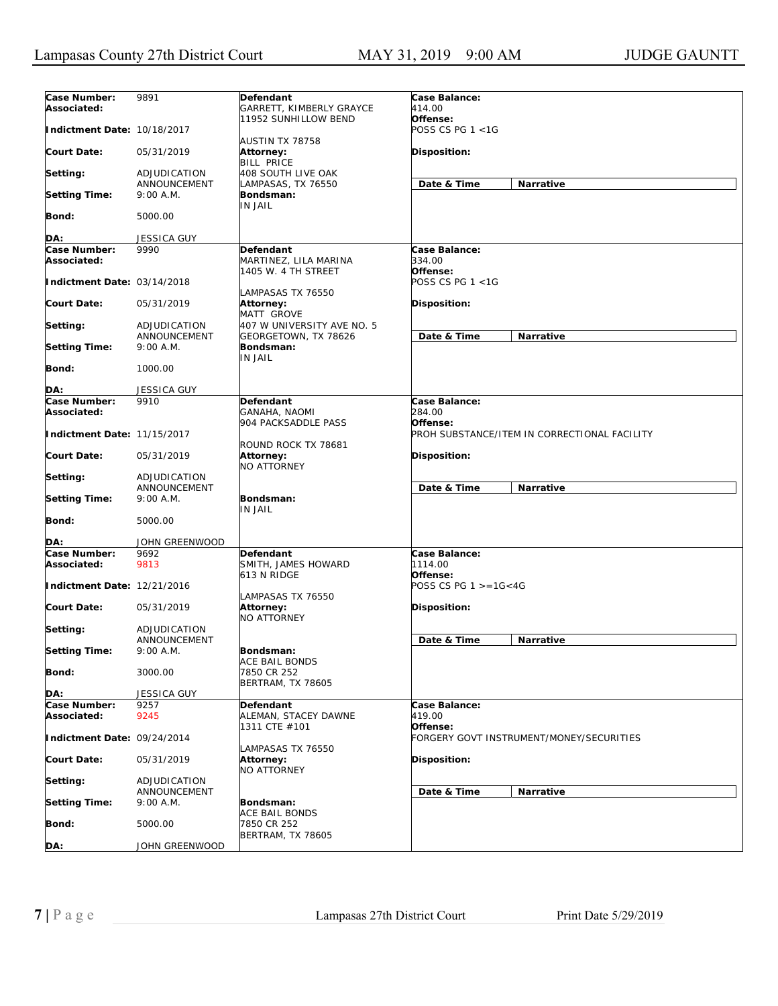| Case Number:<br>Associated: | 9891                         | Defendant<br>GARRETT, KIMBERLY GRAYCE              | Case Balance:<br>414.00      |                                              |
|-----------------------------|------------------------------|----------------------------------------------------|------------------------------|----------------------------------------------|
| Indictment Date: 10/18/2017 |                              | 11952 SUNHILLOW BEND                               | Offense:<br>POSS CS PG 1 <1G |                                              |
| <b>Court Date:</b>          | 05/31/2019                   | AUSTIN TX 78758<br>Attorney:<br><b>BILL PRICE</b>  | Disposition:                 |                                              |
| Setting:                    | ADJUDICATION<br>ANNOUNCEMENT | 408 SOUTH LIVE OAK<br>LAMPASAS, TX 76550           | Date & Time                  | Narrative                                    |
| <b>Setting Time:</b>        | 9:00 A.M.                    | Bondsman:<br>IN JAIL                               |                              |                                              |
| <b>Bond:</b>                | 5000.00                      |                                                    |                              |                                              |
| DA:                         | <b>JESSICA GUY</b>           |                                                    |                              |                                              |
| <b>Case Number:</b>         | 9990                         | Defendant                                          | Case Balance:                |                                              |
| Associated:                 |                              | MARTINEZ, LILA MARINA<br>1405 W. 4 TH STREET       | 334.00<br>Offense:           |                                              |
| Indictment Date: 03/14/2018 |                              | LAMPASAS TX 76550                                  | POSS CS PG $1 < 1G$          |                                              |
| <b>Court Date:</b>          | 05/31/2019                   | <b>Attorney:</b><br>MATT GROVE                     | Disposition:                 |                                              |
| Setting:                    | ADJUDICATION<br>ANNOUNCEMENT | 407 W UNIVERSITY AVE NO. 5<br>GEORGETOWN, TX 78626 | Date & Time                  | Narrative                                    |
| <b>Setting Time:</b>        | 9:00 A.M.                    | Bondsman:<br>IN JAIL                               |                              |                                              |
| <b>Bond:</b>                | 1000.00                      |                                                    |                              |                                              |
| DA:                         | <b>JESSICA GUY</b>           |                                                    |                              |                                              |
| Case Number:<br>Associated: | 9910                         | Defendant<br>GANAHA, NAOMI                         | Case Balance:<br>284.00      |                                              |
| Indictment Date: 11/15/2017 |                              | 904 PACKSADDLE PASS<br>ROUND ROCK TX 78681         | Offense:                     | PROH SUBSTANCE/ITEM IN CORRECTIONAL FACILITY |
| <b>Court Date:</b>          | 05/31/2019                   | Attorney:<br>NO ATTORNEY                           | Disposition:                 |                                              |
| Setting:                    | ADJUDICATION<br>ANNOUNCEMENT |                                                    | Date & Time                  | Narrative                                    |
| <b>Setting Time:</b>        | 9:00 A.M.                    | Bondsman:<br>IN JAIL                               |                              |                                              |
| <b>Bond:</b>                | 5000.00                      |                                                    |                              |                                              |
| DA:                         | JOHN GREENWOOD               |                                                    |                              |                                              |
| Case Number:                | 9692                         | <b>Defendant</b>                                   | Case Balance:                |                                              |
| Associated:                 | 9813                         | SMITH, JAMES HOWARD<br>613 N RIDGE                 | 1114.00<br>Offense:          |                                              |
| Indictment Date: 12/21/2016 |                              | LAMPASAS TX 76550                                  | POSS CS PG $1 > = 16 < 4G$   |                                              |
| <b>Court Date:</b>          | 05/31/2019                   | <b>Attorney:</b><br><b>NO ATTORNEY</b>             | Disposition:                 |                                              |
| Setting:                    | ADJUDICATION<br>ANNOUNCEMENT |                                                    | Date & Time                  | Narrative                                    |
| <b>Setting Time:</b>        | 9:00 A.M.                    | Bondsman:                                          |                              |                                              |
| <b>Bond:</b>                | 3000.00                      | ACE BAIL BONDS<br>7850 CR 252                      |                              |                                              |
| DA:                         | JESSICA GUY                  | <b>BERTRAM, TX 78605</b>                           |                              |                                              |
| Case Number:                | 9257                         | Defendant                                          | Case Balance:                |                                              |
| Associated:                 | 9245                         | ALEMAN, STACEY DAWNE<br>1311 CTE #101              | 419.00<br>Offense:           |                                              |
| Indictment Date: 09/24/2014 |                              | LAMPASAS TX 76550                                  |                              | FORGERY GOVT INSTRUMENT/MONEY/SECURITIES     |
| <b>Court Date:</b>          | 05/31/2019                   | Attorney:<br>NO ATTORNEY                           | Disposition:                 |                                              |
| Setting:                    | ADJUDICATION<br>ANNOUNCEMENT |                                                    | Date & Time                  | Narrative                                    |
| <b>Setting Time:</b>        | 9:00 A.M.                    | Bondsman:<br><b>ACE BAIL BONDS</b>                 |                              |                                              |
| <b>Bond:</b>                | 5000.00                      | 7850 CR 252<br><b>BERTRAM, TX 78605</b>            |                              |                                              |
| DA:                         | JOHN GREENWOOD               |                                                    |                              |                                              |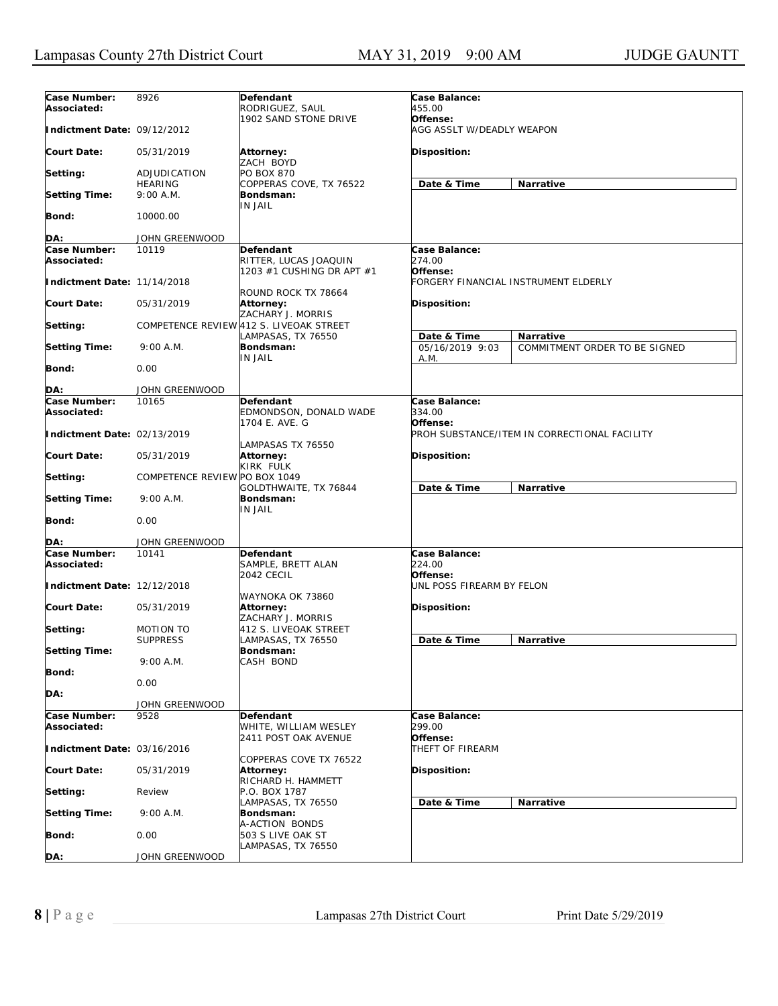| Case Number:<br>Associated: | 8926                          | Defendant<br>RODRIGUEZ, SAUL                                  | Case Balance:<br>455.00               |                                              |  |
|-----------------------------|-------------------------------|---------------------------------------------------------------|---------------------------------------|----------------------------------------------|--|
| Indictment Date: 09/12/2012 |                               | 1902 SAND STONE DRIVE                                         | Offense:<br>AGG ASSLT W/DEADLY WEAPON |                                              |  |
| <b>Court Date:</b>          | 05/31/2019                    | <b>Attorney:</b><br>ZACH BOYD                                 | <b>Disposition:</b>                   |                                              |  |
| Setting:                    | ADJUDICATION                  | <b>PO BOX 870</b>                                             |                                       |                                              |  |
| <b>Setting Time:</b>        | <b>HEARING</b><br>9:00 A.M.   | COPPERAS COVE, TX 76522<br>Bondsman:                          | Date & Time                           | Narrative                                    |  |
| Bond:                       | 10000.00                      | IN JAIL                                                       |                                       |                                              |  |
| DA:                         | JOHN GREENWOOD                |                                                               |                                       |                                              |  |
| Case Number:                | 10119                         | <b>Defendant</b>                                              | Case Balance:                         |                                              |  |
| Associated:                 |                               | RITTER, LUCAS JOAQUIN<br>1203 #1 CUSHING DR APT #1            | 274.00<br>Offense:                    |                                              |  |
| Indictment Date: 11/14/2018 |                               | ROUND ROCK TX 78664                                           |                                       | FORGERY FINANCIAL INSTRUMENT ELDERLY         |  |
| <b>Court Date:</b>          | 05/31/2019                    | Attorney:<br>ZACHARY J. MORRIS                                | <b>Disposition:</b>                   |                                              |  |
| Setting:                    |                               | COMPETENCE REVIEW 412 S. LIVEOAK STREET<br>LAMPASAS, TX 76550 | Date & Time                           | Narrative                                    |  |
| <b>Setting Time:</b>        | 9:00 A.M.                     | Bondsman:<br>IN JAIL                                          | 05/16/2019 9:03<br>A.M.               | COMMITMENT ORDER TO BE SIGNED                |  |
| Bond:                       | 0.00                          |                                                               |                                       |                                              |  |
| DA:                         | JOHN GREENWOOD                |                                                               |                                       |                                              |  |
| Case Number:<br>Associated: | 10165                         | Defendant<br>EDMONDSON, DONALD WADE                           | Case Balance:<br>334.00<br>Offense:   |                                              |  |
| Indictment Date: 02/13/2019 |                               | 1704 E. AVE. G<br>LAMPASAS TX 76550                           |                                       | PROH SUBSTANCE/ITEM IN CORRECTIONAL FACILITY |  |
| <b>Court Date:</b>          | 05/31/2019                    | Attorney:<br>KIRK FULK                                        | <b>Disposition:</b>                   |                                              |  |
| Setting:                    | COMPETENCE REVIEW PO BOX 1049 | GOLDTHWAITE, TX 76844                                         | Date & Time                           | Narrative                                    |  |
| <b>Setting Time:</b>        | 9:00 A.M.                     | Bondsman:<br>IN JAIL                                          |                                       |                                              |  |
| Bond:                       | 0.00                          |                                                               |                                       |                                              |  |
| DA:                         | JOHN GREENWOOD                |                                                               |                                       |                                              |  |
| Case Number:<br>Associated: | 10141                         | Defendant<br>SAMPLE, BRETT ALAN<br>2042 CECIL                 | Case Balance:<br>224.00<br>Offense:   |                                              |  |
| Indictment Date: 12/12/2018 |                               | WAYNOKA OK 73860                                              | UNL POSS FIREARM BY FELON             |                                              |  |
| <b>Court Date:</b>          | 05/31/2019                    | Attorney:<br>ZACHARY J. MORRIS                                | <b>Disposition:</b>                   |                                              |  |
| Setting:                    | MOTION TO<br><b>SUPPRESS</b>  | 412 S. LIVEOAK STREET<br>LAMPASAS, TX 76550                   | Date & Time                           | Narrative                                    |  |
| <b>Setting Time:</b>        |                               | Bondsman:                                                     |                                       |                                              |  |
| <b>Bond:</b>                | 9:00 A.M.                     | CASH BOND                                                     |                                       |                                              |  |
| DA:                         | 0.00                          |                                                               |                                       |                                              |  |
| Case Number:                | JOHN GREENWOOD<br>9528        | Defendant                                                     | Case Balance:                         |                                              |  |
| Associated:                 |                               | WHITE, WILLIAM WESLEY<br>2411 POST OAK AVENUE                 | 299.00<br>Offense:                    |                                              |  |
| Indictment Date: 03/16/2016 |                               |                                                               | THEFT OF FIREARM                      |                                              |  |
| <b>Court Date:</b>          | 05/31/2019                    | COPPERAS COVE TX 76522<br>Attorney:                           | Disposition:                          |                                              |  |
| Setting:                    | Review                        | RICHARD H. HAMMETT<br>P.O. BOX 1787                           |                                       |                                              |  |
| <b>Setting Time:</b>        | 9:00 A.M.                     | LAMPASAS, TX 76550<br>Bondsman:                               | Date & Time                           | Narrative                                    |  |
| Bond:                       | 0.00                          | A-ACTION BONDS<br>503 S LIVE OAK ST                           |                                       |                                              |  |
| DA:                         | JOHN GREENWOOD                | LAMPASAS, TX 76550                                            |                                       |                                              |  |